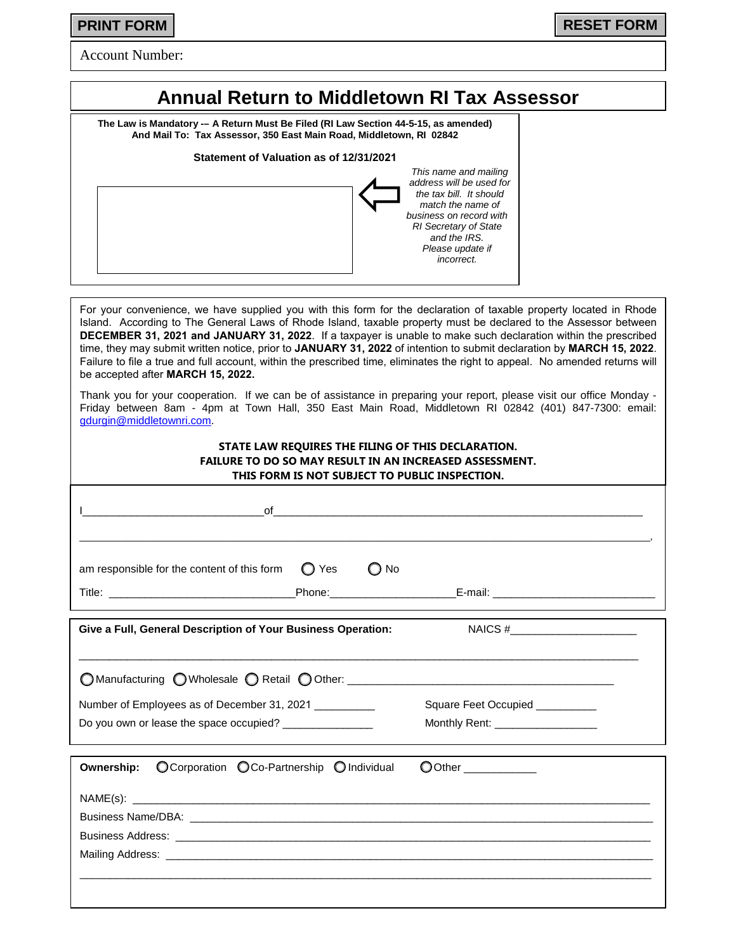Account Number:

# **Annual Return to Middletown RI Tax Assessor**

**The Law is Mandatory -– A Return Must Be Filed (RI Law Section 44-5-15, as amended) And Mail To: Tax Assessor, 350 East Main Road, Middletown, RI 02842**

**Statement of Valuation as of 12/31/2021**

| This name and mailing        |
|------------------------------|
| address will be used for     |
| the tax bill. It should      |
| match the name of            |
| business on record with      |
| <b>RI</b> Secretary of State |
| and the IRS.                 |
| Please update if             |
| incorrect.                   |
|                              |
|                              |

For your convenience, we have supplied you with this form for the declaration of taxable property located in Rhode Island. According to The General Laws of Rhode Island, taxable property must be declared to the Assessor between **DECEMBER 31, 2021 and JANUARY 31, 2022**. If a taxpayer is unable to make such declaration within the prescribed time, they may submit written notice, prior to **JANUARY 31, 2022** of intention to submit declaration by **MARCH 15, 2022**. Failure to file a true and full account, within the prescribed time, eliminates the right to appeal. No amended returns will be accepted after **MARCH 15, 2022.**

Thank you for your cooperation. If we can be of assistance in preparing your report, please visit our office Monday - Friday between 8am - 4pm at Town Hall, 350 East Main Road, Middletown RI 02842 (401) 847-7300: email: [gdurgin@middletownri.com.](mailto:gdurgin@middletownri.com)

#### **STATE LAW REQUIRES THE FILING OF THIS DECLARATION. FAILURE TO DO SO MAY RESULT IN AN INCREASED ASSESSMENT. THIS FORM IS NOT SUBJECT TO PUBLIC INSPECTION.**

| $\blacksquare$                                                                                         |      |                                                                                                 |  |
|--------------------------------------------------------------------------------------------------------|------|-------------------------------------------------------------------------------------------------|--|
| am responsible for the content of this form $\bigcirc$ Yes                                             | O No | the contract of the contract of the contract of the contract of the contract of the contract of |  |
| Give a Full, General Description of Your Business Operation:                                           |      |                                                                                                 |  |
| O Manufacturing O Wholesale O Retail O Other: ___________________________________                      |      |                                                                                                 |  |
| Number of Employees as of December 31, 2021<br>Do you own or lease the space occupied? _______________ |      | Square Feet Occupied __________<br>Monthly Rent: __________________                             |  |

|  | Ownership: O Corporation O Co-Partnership O Individual | O Other ____________ |
|--|--------------------------------------------------------|----------------------|
|  |                                                        |                      |
|  |                                                        |                      |
|  |                                                        |                      |
|  |                                                        |                      |
|  |                                                        |                      |
|  |                                                        |                      |
|  |                                                        |                      |

**PRINT FORM RESET FORM**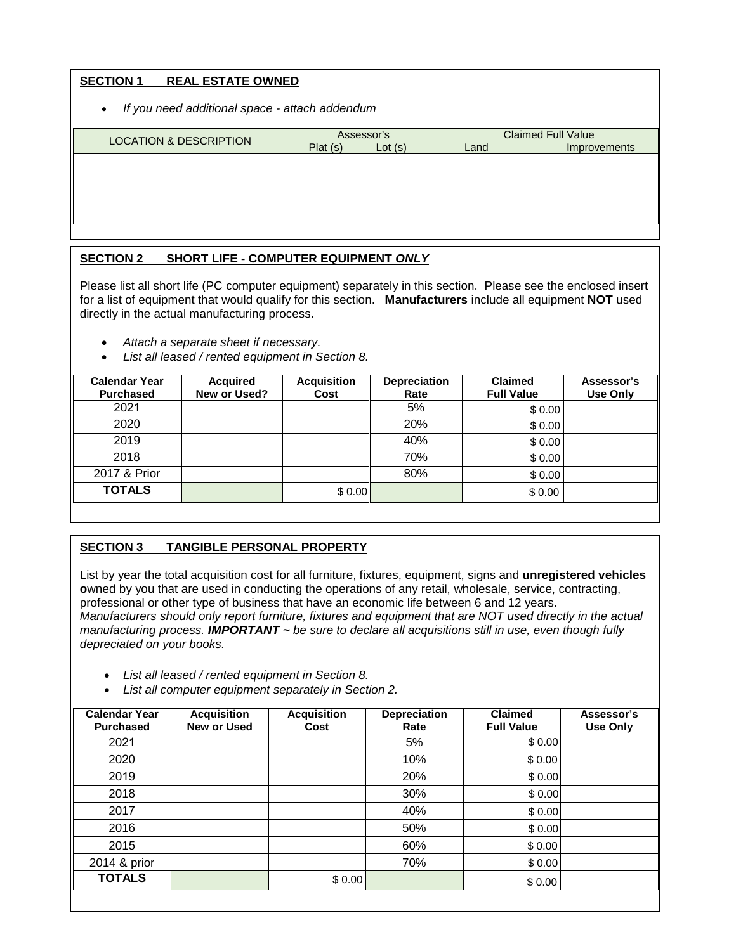# **SECTION 1 REAL ESTATE OWNED**

• *If you need additional space - attach addendum*

| <b>LOCATION &amp; DESCRIPTION</b> | Assessor's |        | <b>Claimed Full Value</b> |              |
|-----------------------------------|------------|--------|---------------------------|--------------|
|                                   | Plat(s)    | Lot(s) | Land                      | Improvements |
|                                   |            |        |                           |              |
|                                   |            |        |                           |              |
|                                   |            |        |                           |              |
|                                   |            |        |                           |              |

# **SECTION 2 SHORT LIFE - COMPUTER EQUIPMENT** *ONLY*

Please list all short life (PC computer equipment) separately in this section. Please see the enclosed insert for a list of equipment that would qualify for this section. **Manufacturers** include all equipment **NOT** used directly in the actual manufacturing process.

- *Attach a separate sheet if necessary.*
- *List all leased / rented equipment in Section 8.*

| <b>Calendar Year</b><br><b>Purchased</b> | <b>Acquired</b><br>New or Used? | <b>Acquisition</b><br>Cost | <b>Depreciation</b><br>Rate | <b>Claimed</b><br><b>Full Value</b> | Assessor's<br><b>Use Only</b> |
|------------------------------------------|---------------------------------|----------------------------|-----------------------------|-------------------------------------|-------------------------------|
| 2021                                     |                                 |                            | 5%                          | \$0.00                              |                               |
| 2020                                     |                                 |                            | 20%                         | \$0.00                              |                               |
| 2019                                     |                                 |                            | 40%                         | \$0.00                              |                               |
| 2018                                     |                                 |                            | 70%                         | \$0.00                              |                               |
| 2017 & Prior                             |                                 |                            | 80%                         | \$0.00                              |                               |
| <b>TOTALS</b>                            |                                 | \$0.00                     |                             | \$0.00                              |                               |
|                                          |                                 |                            |                             |                                     |                               |

### **SECTION 3 TANGIBLE PERSONAL PROPERTY**

List by year the total acquisition cost for all furniture, fixtures, equipment, signs and **unregistered vehicles o**wned by you that are used in conducting the operations of any retail, wholesale, service, contracting, professional or other type of business that have an economic life between 6 and 12 years. *Manufacturers should only report furniture, fixtures and equipment that are NOT used directly in the actual manufacturing process. IMPORTANT ~ be sure to declare all acquisitions still in use, even though fully depreciated on your books.* 

- *List all leased / rented equipment in Section 8.*
- *List all computer equipment separately in Section 2.*

| <b>Calendar Year</b><br><b>Purchased</b> | <b>Acquisition</b><br>New or Used | <b>Acquisition</b><br>Cost | <b>Depreciation</b><br>Rate | <b>Claimed</b><br><b>Full Value</b> | Assessor's<br>Use Only |
|------------------------------------------|-----------------------------------|----------------------------|-----------------------------|-------------------------------------|------------------------|
| 2021                                     |                                   |                            | 5%                          | \$0.00                              |                        |
| 2020                                     |                                   |                            | 10%                         | \$0.00                              |                        |
| 2019                                     |                                   |                            | 20%                         | \$0.00                              |                        |
| 2018                                     |                                   |                            | 30%                         | \$0.00                              |                        |
| 2017                                     |                                   |                            | 40%                         | \$0.00                              |                        |
| 2016                                     |                                   |                            | 50%                         | \$0.00                              |                        |
| 2015                                     |                                   |                            | 60%                         | \$0.00                              |                        |
| 2014 & prior                             |                                   |                            | 70%                         | \$0.00                              |                        |
| <b>TOTALS</b>                            |                                   | \$0.00                     |                             | \$0.00                              |                        |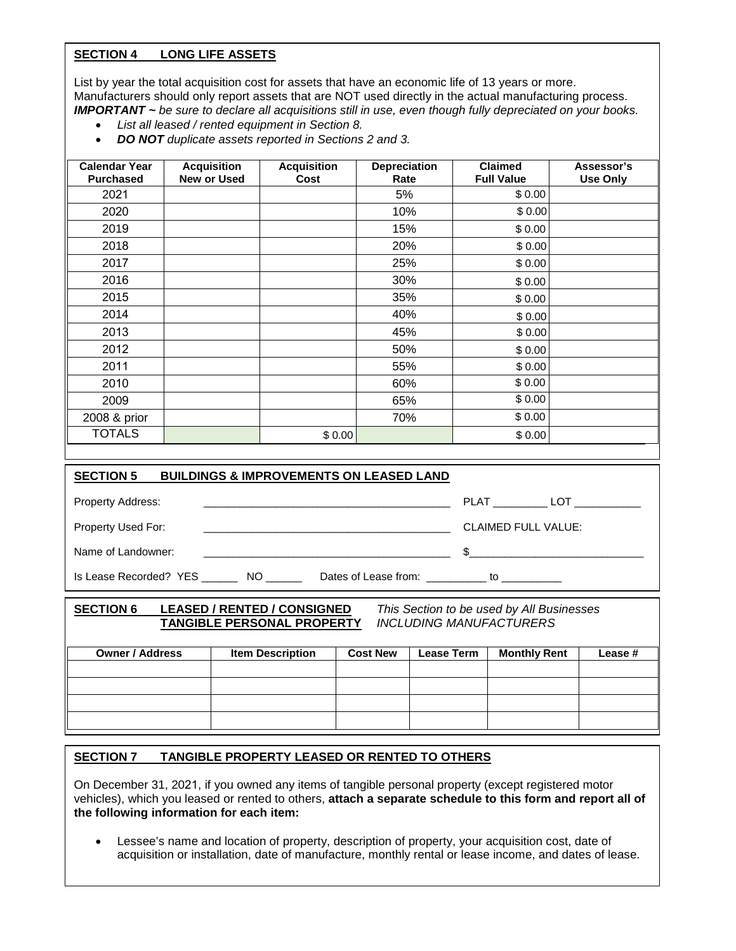# **SECTION 4 LONG LIFE ASSETS**

List by year the total acquisition cost for assets that have an economic life of 13 years or more. Manufacturers should only report assets that are NOT used directly in the actual manufacturing process. *IMPORTANT ~ be sure to declare all acquisitions still in use, even though fully depreciated on your books.* 

- *List all leased / rented equipment in Section 8.*
- *DO NOT duplicate assets reported in Sections 2 and 3.*

| <b>Calendar Year</b><br><b>Purchased</b> | <b>Acquisition</b><br>New or Used | <b>Acquisition</b><br>Cost | Depreciation<br>Rate | <b>Claimed</b><br><b>Full Value</b> | Assessor's<br><b>Use Only</b> |
|------------------------------------------|-----------------------------------|----------------------------|----------------------|-------------------------------------|-------------------------------|
| 2021                                     |                                   |                            | 5%                   | \$0.00                              |                               |
| 2020                                     |                                   |                            | 10%                  | \$0.00                              |                               |
| 2019                                     |                                   |                            | 15%                  | \$0.00                              |                               |
| 2018                                     |                                   |                            | 20%                  | \$0.00                              |                               |
| 2017                                     |                                   |                            | 25%                  | \$0.00                              |                               |
| 2016                                     |                                   |                            | 30%                  | \$0.00                              |                               |
| 2015                                     |                                   |                            | 35%                  | \$0.00                              |                               |
| 2014                                     |                                   |                            | 40%                  | \$0.00                              |                               |
| 2013                                     |                                   |                            | 45%                  | \$0.00                              |                               |
| 2012                                     |                                   |                            | 50%                  | \$0.00                              |                               |
| 2011                                     |                                   |                            | 55%                  | \$0.00                              |                               |
| 2010                                     |                                   |                            | 60%                  | \$0.00                              |                               |
| 2009                                     |                                   |                            | 65%                  | \$0.00                              |                               |
| 2008 & prior                             |                                   |                            | 70%                  | \$0.00                              |                               |
| <b>TOTALS</b>                            |                                   | \$0.00                     |                      | \$0.00                              |                               |

| <b>BUILDINGS &amp; IMPROVEMENTS ON LEASED LAND</b><br><b>SECTION 5</b>                                                                             |                                                                   |                            |              |
|----------------------------------------------------------------------------------------------------------------------------------------------------|-------------------------------------------------------------------|----------------------------|--------------|
| <b>Property Address:</b><br><u> 1980 - An Dùbhlachd ann an Dùbhlachd ann an Dùbhlachd ann an Dùbhlachd ann an Dùbhlachd ann an Dùbhlachd ann a</u> |                                                                   |                            | PLAT LOT     |
| Property Used For:<br><u> 1980 - Jan James James James James James James James James James James James James James James James James J</u>         |                                                                   | <b>CLAIMED FULL VALUE:</b> |              |
| Name of Landowner:                                                                                                                                 |                                                                   |                            | $\mathbb{S}$ |
| Is Lease Recorded? YES NO                                                                                                                          | Dates of Lease from: to to the to the basic states of Lease from: |                            |              |

| <b>SECTION 6</b>       | <b>LEASED / RENTED / CONSIGNED</b><br><b>TANGIBLE PERSONAL PROPERTY</b> |                 | <b>INCLUDING MANUFACTURERS</b> | This Section to be used by All Businesses |         |
|------------------------|-------------------------------------------------------------------------|-----------------|--------------------------------|-------------------------------------------|---------|
| <b>Owner / Address</b> | <b>Item Description</b>                                                 | <b>Cost New</b> | <b>Lease Term</b>              | <b>Monthly Rent</b>                       | Lease # |
|                        |                                                                         |                 |                                |                                           |         |
|                        |                                                                         |                 |                                |                                           |         |
|                        |                                                                         |                 |                                |                                           |         |
|                        |                                                                         |                 |                                |                                           |         |

#### **SECTION 7 TANGIBLE PROPERTY LEASED OR RENTED TO OTHERS**

On December 31, 2021, if you owned any items of tangible personal property (except registered motor vehicles), which you leased or rented to others, **attach a separate schedule to this form and report all of the following information for each item:**

• Lessee's name and location of property, description of property, your acquisition cost, date of acquisition or installation, date of manufacture, monthly rental or lease income, and dates of lease.